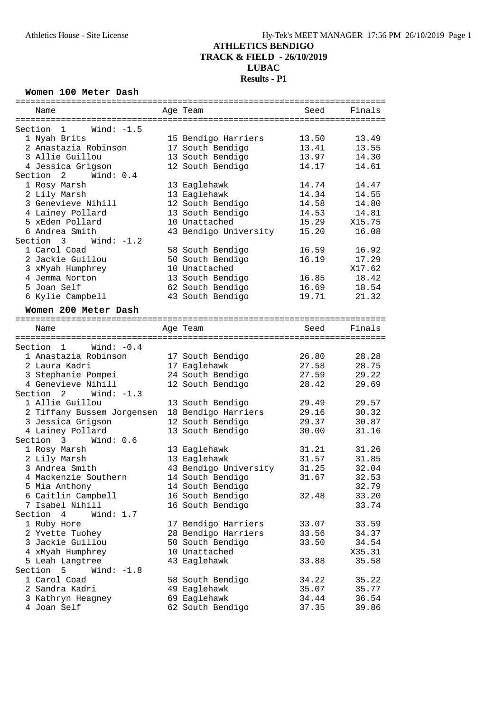### **ATHLETICS BENDIGO TRACK & FIELD - 26/10/2019**

# **LUBAC**

# **Results - P1**

**Women 100 Meter Dash**

| Name                                                        |  | Age Team                         | Seed           | Finals         |  |  |  |
|-------------------------------------------------------------|--|----------------------------------|----------------|----------------|--|--|--|
| Section 1<br>Wind: $-1.5$                                   |  |                                  |                |                |  |  |  |
| 1 Nyah Brits                                                |  | 15 Bendigo Harriers              | 13.50          | 13.49          |  |  |  |
| 2 Anastazia Robinson                                        |  | 17 South Bendigo                 | 13.41          | 13.55          |  |  |  |
| 3 Allie Guillou                                             |  | 13 South Bendigo                 | 13.97          | 14.30          |  |  |  |
|                                                             |  | 12 South Bendigo                 | 14.17          | 14.61          |  |  |  |
| 4 Jessica Grigson<br>Section<br>$\mathbf{2}$<br>Wind: $0.4$ |  |                                  |                |                |  |  |  |
|                                                             |  |                                  | 14.74          | 14.47          |  |  |  |
| 1 Rosy Marsh                                                |  | 13 Eaglehawk                     |                |                |  |  |  |
| 2 Lily Marsh<br>3 Genevieve Nihill                          |  | 13 Eaglehawk<br>12 South Bendigo | 14.34<br>14.58 | 14.55<br>14.80 |  |  |  |
| 4 Lainey Pollard                                            |  | 13 South Bendigo                 | 14.53          | 14.81          |  |  |  |
| 5 xEden Pollard                                             |  | 10 Unattached                    | 15.29          | X15.75         |  |  |  |
| 6 Andrea Smith                                              |  | 43 Bendigo University            | 15.20          | 16.08          |  |  |  |
| Section 3<br>Wind: $-1.2$                                   |  |                                  |                |                |  |  |  |
| 1 Carol Coad                                                |  | 58 South Bendigo                 | 16.59          | 16.92          |  |  |  |
| 2 Jackie Guillou                                            |  | 50 South Bendigo                 | 16.19          | 17.29          |  |  |  |
| 3 xMyah Humphrey                                            |  | 10 Unattached                    |                | X17.62         |  |  |  |
| 4 Jemma Norton                                              |  | 13 South Bendigo                 |                | 18.42          |  |  |  |
| 5 Joan Self                                                 |  | 62 South Bendigo                 | 16.85          |                |  |  |  |
|                                                             |  | 43 South Bendigo                 | 16.69<br>19.71 | 18.54          |  |  |  |
| 6 Kylie Campbell                                            |  |                                  |                | 21.32          |  |  |  |
| Women 200 Meter Dash                                        |  |                                  |                |                |  |  |  |
|                                                             |  |                                  |                |                |  |  |  |
| Name                                                        |  | Age Team                         | Seed           | Finals         |  |  |  |
|                                                             |  |                                  |                |                |  |  |  |
| Wind: -0.4<br>Section 1                                     |  |                                  |                |                |  |  |  |
| 1 Anastazia Robinson                                        |  | 17 South Bendigo                 | 26.80          | 28.28          |  |  |  |
| 2 Laura Kadri                                               |  | 17 Eaglehawk                     | 27.58          | 28.75          |  |  |  |
| 3 Stephanie Pompei                                          |  | 24 South Bendigo                 | 27.59          | 29.22          |  |  |  |
| 4 Genevieve Nihill                                          |  | 12 South Bendigo                 | 28.42          | 29.69          |  |  |  |
| Section 2<br>Wind: $-1.3$                                   |  |                                  |                |                |  |  |  |
| 1 Allie Guillou                                             |  | 13 South Bendigo                 | 29.49          | 29.57          |  |  |  |
| 2 Tiffany Bussem Jorgensen                                  |  | 18 Bendigo Harriers              | 29.16          | 30.32          |  |  |  |
| 3 Jessica Grigson                                           |  | 12 South Bendigo                 | 29.37          | 30.87          |  |  |  |
| 4 Lainey Pollard                                            |  | 13 South Bendigo                 | 30.00          | 31.16          |  |  |  |
| Section 3<br>Wind: 0.6                                      |  |                                  |                |                |  |  |  |
| 1 Rosy Marsh                                                |  | 13 Eaglehawk                     | 31.21          | 31.26          |  |  |  |
| 2 Lily Marsh                                                |  | 13 Eaglehawk                     | 31.57          | 31.85          |  |  |  |
| 3 Andrea Smith                                              |  | 43 Bendigo University            | 31.25          | 32.04          |  |  |  |
| 4 Mackenzie Southern                                        |  | 14 South Bendigo                 | 31.67          | 32.53          |  |  |  |
| 5 Mia Anthony                                               |  | 14 South Bendigo                 |                | 32.79          |  |  |  |
| 6 Caitlin Campbell                                          |  | 16 South Bendigo                 | 32.48          | 33.20          |  |  |  |
| 7 Isabel Nihill                                             |  | 16 South Bendigo                 |                | 33.74          |  |  |  |
| Section 4<br>Wind: $1.7$                                    |  |                                  |                |                |  |  |  |
| 1 Ruby Hore                                                 |  | 17 Bendigo Harriers              | 33.07          | 33.59          |  |  |  |
| 2 Yvette Tuohey                                             |  | 28 Bendigo Harriers              | 33.56          | 34.37          |  |  |  |
| 3 Jackie Guillou                                            |  | 50 South Bendigo                 | 33.50          | 34.54          |  |  |  |
| 4 xMyah Humphrey                                            |  | 10 Unattached                    |                | X35.31         |  |  |  |
| 5 Leah Langtree                                             |  | 43 Eaglehawk                     | 33.88          | 35.58          |  |  |  |
| Section<br>Wind: $-1.8$<br>5                                |  |                                  |                |                |  |  |  |
| 1 Carol Coad                                                |  | 58 South Bendigo                 | 34.22          | 35.22          |  |  |  |
| 2 Sandra Kadri                                              |  | 49 Eaglehawk                     | 35.07          | 35.77          |  |  |  |
| 3 Kathryn Heagney                                           |  | 69 Eaglehawk                     | 34.44          | 36.54          |  |  |  |
| 4 Joan Self                                                 |  | 62 South Bendigo                 | 37.35          | 39.86          |  |  |  |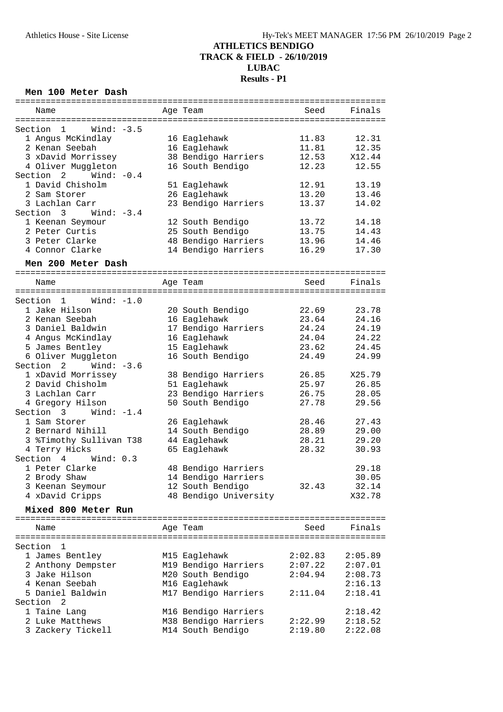#### **Men 100 Meter Dash**

| Name                     | Age Team              | Seed    | Finals  |
|--------------------------|-----------------------|---------|---------|
|                          |                       |         |         |
| $Section 1$ Wind: $-3.5$ |                       |         |         |
| 1 Angus McKindlay        | 16 Eaglehawk          | 11.83   | 12.31   |
| 2 Kenan Seebah           | 16 Eaglehawk          | 11.81   | 12.35   |
| 3 xDavid Morrissey       | 38 Bendigo Harriers   | 12.53   | X12.44  |
|                          |                       | 12.23   |         |
| 4 Oliver Muggleton       | 16 South Bendigo      |         | 12.55   |
| Section 2 Wind: $-0.4$   |                       |         |         |
| 1 David Chisholm         | 51 Eaglehawk          | 12.91   | 13.19   |
| 2 Sam Storer             | 26 Eaglehawk          | 13.20   | 13.46   |
| 3 Lachlan Carr           | 23 Bendigo Harriers   | 13.37   | 14.02   |
| Section $3$ Wind: $-3.4$ |                       |         |         |
| 1 Keenan Seymour         | 12 South Bendigo      | 13.72   | 14.18   |
| 2 Peter Curtis           | 25 South Bendigo      | 13.75   | 14.43   |
| 3 Peter Clarke           | 48 Bendigo Harriers   | 13.96   | 14.46   |
| 4 Connor Clarke          | 14 Bendigo Harriers   | 16.29   | 17.30   |
|                          |                       |         |         |
| Men 200 Meter Dash       |                       |         |         |
| Name                     | Age Team              | Seed    | Finals  |
|                          |                       |         |         |
| $Section 1$ Wind: $-1.0$ |                       |         |         |
| 1 Jake Hilson            | 20 South Bendigo      | 22.69   | 23.78   |
| 2 Kenan Seebah           |                       | 23.64   | 24.16   |
|                          | 16 Eaglehawk          |         |         |
| 3 Daniel Baldwin         | 17 Bendigo Harriers   | 24.24   | 24.19   |
| 4 Angus McKindlay        | 16 Eaglehawk          | 24.04   | 24.22   |
| 5 James Bentley          | 15 Eaglehawk          | 23.62   | 24.45   |
| 6 Oliver Muggleton       | 16 South Bendigo      | 24.49   | 24.99   |
| Section 2 Wind: -3.6     |                       |         |         |
| 1 xDavid Morrissey       | 38 Bendigo Harriers   | 26.85   | X25.79  |
| 2 David Chisholm         | 51 Eaglehawk          | 25.97   | 26.85   |
| 3 Lachlan Carr           | 23 Bendigo Harriers   | 26.75   | 28.05   |
| 4 Gregory Hilson         | 50 South Bendigo      | 27.78   | 29.56   |
| Section $3$ Wind: $-1.4$ |                       |         |         |
| 1 Sam Storer             | 26 Eaglehawk          | 28.46   | 27.43   |
| 2 Bernard Nihill         | 14 South Bendigo      | 28.89   | 29.00   |
| 3 %Timothy Sullivan T38  | 44 Eaglehawk          | 28.21   | 29.20   |
|                          |                       |         |         |
| 4 Terry Hicks            | 65 Eaglehawk          | 28.32   | 30.93   |
| Section 4<br>Wind: 0.3   |                       |         |         |
| 1 Peter Clarke           | 48 Bendigo Harriers   |         | 29.18   |
| 2 Brody Shaw             | 14 Bendigo Harriers   |         | 30.05   |
| 3 Keenan Seymour         | 12 South Bendigo      | 32.43   | 32.14   |
| 4 xDavid Cripps          | 48 Bendigo University |         | X32.78  |
| Mixed 800 Meter Run      |                       |         |         |
|                          |                       |         |         |
| Name                     | Age Team              | Seed    | Finals  |
|                          |                       |         |         |
| Section<br>1             |                       |         |         |
| 1 James Bentley          | M15 Eaglehawk         | 2:02.83 | 2:05.89 |
| 2 Anthony Dempster       | M19 Bendigo Harriers  | 2:07.22 | 2:07.01 |
| 3 Jake Hilson            | M20 South Bendigo     | 2:04.94 | 2:08.73 |
| 4 Kenan Seebah           | M16 Eaglehawk         |         | 2:16.13 |
|                          |                       |         |         |
| 5 Daniel Baldwin         | M17 Bendigo Harriers  | 2:11.04 | 2:18.41 |
| Section 2                |                       |         |         |
| 1 Taine Lang             | M16 Bendigo Harriers  |         | 2:18.42 |
| 2 Luke Matthews          | M38 Bendigo Harriers  | 2:22.99 | 2:18.52 |
| 3 Zackery Tickell        | M14 South Bendigo     | 2:19.80 | 2:22.08 |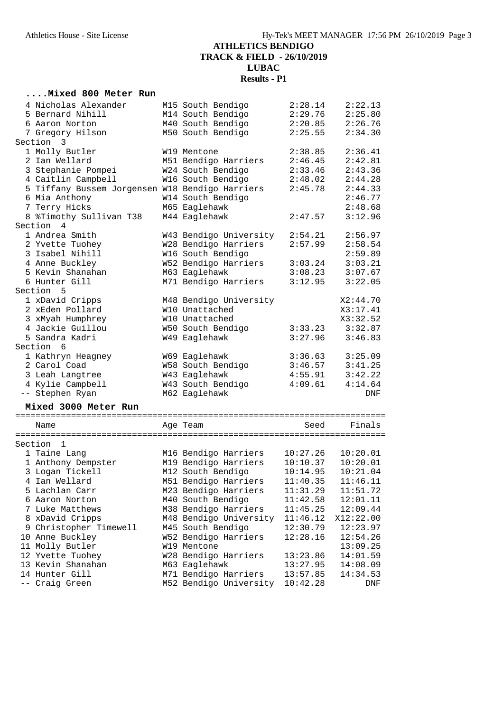#### **....Mixed 800 Meter Run**

| 4 Nicholas Alexander                            | M15 South Bendigo      | 2:28.14  | 2:22.13   |
|-------------------------------------------------|------------------------|----------|-----------|
| 5 Bernard Nihill                                | M14 South Bendigo      | 2:29.76  | 2:25.80   |
| 6 Aaron Norton                                  | M40 South Bendigo      | 2:20.85  | 2:26.76   |
| 7 Gregory Hilson                                | M50 South Bendigo      | 2:25.55  | 2:34.30   |
| Section 3                                       |                        |          |           |
| 1 Molly Butler                                  | W19 Mentone            | 2:38.85  | 2:36.41   |
| 2 Ian Wellard                                   | M51 Bendigo Harriers   | 2:46.45  | 2:42.81   |
| 3 Stephanie Pompei                              | W24 South Bendigo      | 2:33.46  | 2:43.36   |
| 4 Caitlin Campbell                              | W16 South Bendigo      | 2:48.02  | 2:44.28   |
| 5 Tiffany Bussem Jorgensen W18 Bendigo Harriers |                        | 2:45.78  | 2:44.33   |
| 6 Mia Anthony                                   | W14 South Bendigo      |          | 2:46.77   |
| 7 Terry Hicks                                   | M65 Eaglehawk          |          | 2:48.68   |
| 8 %Timothy Sullivan T38                         | M44 Eaglehawk          | 2:47.57  | 3:12.96   |
| Section 4                                       |                        |          |           |
| 1 Andrea Smith                                  | W43 Bendigo University | 2:54.21  | 2:56.97   |
| 2 Yvette Tuohey                                 | W28 Bendigo Harriers   | 2:57.99  | 2:58.54   |
| 3 Isabel Nihill                                 | W16 South Bendigo      |          | 2:59.89   |
| 4 Anne Buckley                                  | W52 Bendigo Harriers   | 3:03.24  | 3:03.21   |
| 5 Kevin Shanahan                                | M63 Eaglehawk          | 3:08.23  | 3:07.67   |
| 6 Hunter Gill                                   | M71 Bendigo Harriers   | 3:12.95  | 3:22.05   |
| Section 5                                       |                        |          |           |
| 1 xDavid Cripps                                 | M48 Bendigo University |          | X2:44.70  |
| 2 xEden Pollard                                 | W10 Unattached         |          | X3:17.41  |
| 3 xMyah Humphrey                                | W10 Unattached         |          | X3:32.52  |
| 4 Jackie Guillou                                | W50 South Bendigo      | 3:33.23  | 3:32.87   |
| 5 Sandra Kadri                                  | W49 Eaglehawk          | 3:27.96  | 3:46.83   |
| Section 6                                       |                        |          |           |
| 1 Kathryn Heagney                               | W69 Eaglehawk          | 3:36.63  | 3:25.09   |
| 2 Carol Coad                                    | W58 South Bendigo      | 3:46.57  | 3:41.25   |
| 3 Leah Langtree                                 | W43 Eaglehawk          | 4:55.91  | 3:42.22   |
| 4 Kylie Campbell                                | W43 South Bendigo      | 4:09.61  | 4:14.64   |
| -- Stephen Ryan                                 | M62 Eaglehawk          |          | DNF       |
|                                                 |                        |          |           |
| Mixed 3000 Meter Run                            |                        |          |           |
|                                                 |                        |          |           |
| Name                                            | Age Team               | Seed     | Finals    |
|                                                 |                        |          |           |
| $\overline{1}$<br>Section                       |                        |          |           |
| 1 Taine Lang                                    | M16 Bendigo Harriers   | 10:27.26 | 10:20.01  |
| 1 Anthony Dempster                              | M19 Bendigo Harriers   | 10:10.37 | 10:20.01  |
| 3 Logan Tickell                                 | M12 South Bendigo      | 10:14.95 | 10:21.04  |
| 4 Ian Wellard                                   | M51 Bendigo Harriers   | 11:40.35 | 11:46.11  |
| 5 Lachlan Carr                                  | M23 Bendigo Harriers   | 11:31.29 | 11:51.72  |
| 6 Aaron Norton                                  | M40 South Bendigo      | 11:42.58 | 12:01.11  |
| 7 Luke Matthews                                 | M38 Bendigo Harriers   | 11:45.25 | 12:09.44  |
| 8 xDavid Cripps                                 | M48 Bendigo University | 11:46.12 | X12:22.00 |
| 9 Christopher Timewell                          | M45 South Bendigo      | 12:30.79 | 12:23.97  |
| 10 Anne Buckley                                 | W52 Bendigo Harriers   | 12:28.16 | 12:54.26  |
| 11 Molly Butler                                 | W19 Mentone            |          | 13:09.25  |
| 12 Yvette Tuohey                                | W28 Bendigo Harriers   | 13:23.86 | 14:01.59  |
| 13 Kevin Shanahan                               | M63 Eaglehawk          | 13:27.95 | 14:08.09  |
| 14 Hunter Gill                                  | M71 Bendigo Harriers   | 13:57.85 | 14:34.53  |
| -- Craig Green                                  | M52 Bendigo University | 10:42.28 | DNF       |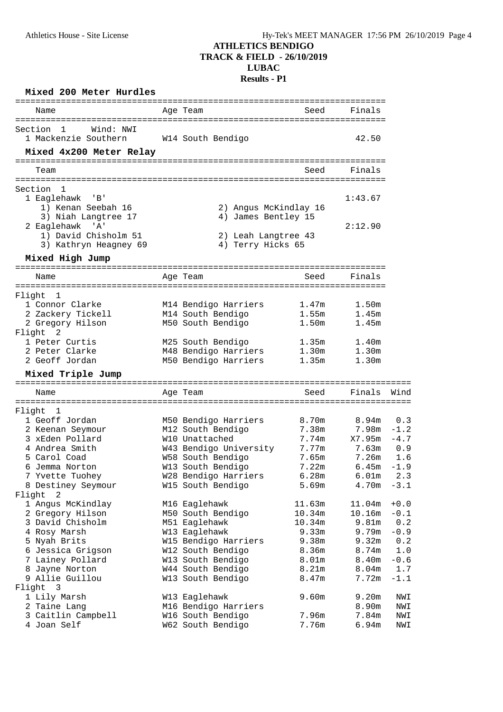| Mixed 200 Meter Hurdles                           |                                           |                   |                                |               |
|---------------------------------------------------|-------------------------------------------|-------------------|--------------------------------|---------------|
| Name                                              | Age Team                                  | Seed              | Finals                         |               |
| Section<br>$\mathbf{1}$<br>Wind: NWI              |                                           |                   |                                |               |
| 1 Mackenzie Southern                              | W14 South Bendigo                         |                   | 42.50                          |               |
| Mixed 4x200 Meter Relay                           |                                           |                   |                                |               |
| Team                                              | -----------------------------------       | Seed              | Finals                         |               |
|                                                   |                                           |                   |                                |               |
| Section<br>- 1<br>1 Eaglehawk 'B'                 |                                           |                   | 1:43.67                        |               |
| 1) Kenan Seebah 16                                | 2) Angus McKindlay 16                     |                   |                                |               |
| 3) Niah Langtree 17                               | 4) James Bentley 15                       |                   |                                |               |
| 2 Eaglehawk 'A'                                   |                                           |                   | 2:12.90                        |               |
| 1) David Chisholm 51                              | 2) Leah Langtree 43                       |                   |                                |               |
| 3) Kathryn Heagney 69<br>Mixed High Jump          | 4) Terry Hicks 65                         |                   |                                |               |
|                                                   |                                           |                   |                                |               |
| Name                                              | Age Team                                  | Seed              | Finals                         |               |
| Flight 1                                          |                                           |                   |                                |               |
| 1 Connor Clarke                                   | M14 Bendigo Harriers                      | 1.47m             | 1.50m                          |               |
| 2 Zackery Tickell                                 | M14 South Bendigo                         | 1.55m             | 1.45m                          |               |
| 2 Gregory Hilson<br>Flight<br>2                   | M50 South Bendigo                         | 1.50m             | 1.45m                          |               |
| 1 Peter Curtis                                    | M25 South Bendigo                         | 1.35m             | 1.40m                          |               |
| 2 Peter Clarke                                    | M48 Bendigo Harriers                      | 1.30 <sub>m</sub> | 1.30m                          |               |
| 2 Geoff Jordan                                    | M50 Bendigo Harriers                      | 1.35m             | 1.30m                          |               |
| Mixed Triple Jump<br>============================ |                                           |                   |                                |               |
| Name                                              | Age Team                                  | Seed              | Finals                         | Wind          |
| ============                                      | ==================                        |                   | ============================== |               |
| Flight<br>$\overline{\phantom{0}}$                |                                           |                   |                                |               |
| 1 Geoff Jordan                                    | M50 Bendigo Harriers<br>M12 South Bendigo | 8.70m<br>7.38m    | 8.94m<br>7.98m                 | 0.3<br>$-1.2$ |
| 2 Keenan Seymour<br>3 xEden Pollard               | W10 Unattached                            | 7.74m             | X7.95m                         | $-4.7$        |
| 4 Andrea Smith                                    | W43 Bendigo University                    | 7.77m             | 7.63m                          | 0.9           |
| 5 Carol Coad                                      | W58 South Bendigo                         | 7.65m             | 7.26m                          | 1.6           |
| 6 Jemma Norton                                    | W13 South Bendigo                         | 7.22m             | $6.45m - 1.9$                  |               |
| 7 Yvette Tuohey                                   | W28 Bendigo Harriers                      | 6.28m             | 6.01 <sub>m</sub>              | 2.3           |
| 8 Destiney Seymour                                | W15 South Bendigo                         | 5.69m             | 4.70m                          | $-3.1$        |
| Flight<br>2                                       |                                           |                   |                                |               |
| 1 Angus McKindlay                                 | M16 Eaglehawk                             | 11.63m            | 11.04m                         | $+0.0$        |
| 2 Gregory Hilson                                  | M50 South Bendigo                         | 10.34m            | 10.16m                         | $-0.1$        |
| 3 David Chisholm                                  | M51 Eaglehawk                             | 10.34m            | 9.81m                          | 0.2           |
| 4 Rosy Marsh                                      | W13 Eaglehawk                             | 9.33m             | 9.79m                          | $-0.9$        |
| 5 Nyah Brits                                      | W15 Bendigo Harriers                      | 9.38m             | 9.32m                          | 0.2           |
| 6 Jessica Grigson                                 | W12 South Bendigo                         | 8.36m             | 8.74m                          | 1.0           |
| 7 Lainey Pollard                                  | W13 South Bendigo                         | 8.01m             | 8.40m                          | $-0.6$        |
| 8 Jayne Norton                                    | W44 South Bendigo                         | 8.21m             | 8.04 <sub>m</sub>              | 1.7           |
| 9 Allie Guillou                                   | W13 South Bendigo                         | 8.47m             | 7.72m                          | $-1.1$        |
| $\overline{\mathbf{3}}$<br>Flight                 |                                           |                   |                                |               |
| 1 Lily Marsh                                      | W13 Eaglehawk                             | 9.60m             | 9.20m                          | NWI           |
| 2 Taine Lang                                      | M16 Bendigo Harriers                      |                   | 8.90m                          | NWI           |
| 3 Caitlin Campbell                                | W16 South Bendigo                         | 7.96m             | 7.84m                          | NWI           |
| 4 Joan Self                                       | W62 South Bendigo                         | 7.76m             | 6.94m                          | NWI           |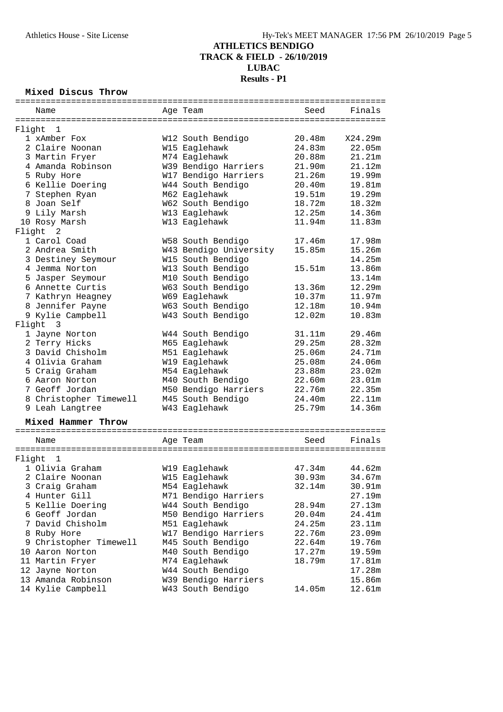# **ATHLETICS BENDIGO TRACK & FIELD - 26/10/2019**

#### **LUBAC Results - P1**

## **Mixed Discus Throw**

|        | Name                   | Age Team               | Seed   | Finals  |
|--------|------------------------|------------------------|--------|---------|
|        |                        |                        |        |         |
| Flight | 1                      |                        |        |         |
|        | 1 xAmber Fox           | W12 South Bendigo      | 20.48m | X24.29m |
|        | 2 Claire Noonan        | W15 Eaglehawk          | 24.83m | 22.05m  |
|        | 3 Martin Fryer         | M74 Eaglehawk          | 20.88m | 21.21m  |
|        | 4 Amanda Robinson      | W39 Bendigo Harriers   | 21.90m | 21.12m  |
|        | 5 Ruby Hore            | W17 Bendigo Harriers   | 21.26m | 19.99m  |
|        | 6 Kellie Doering       | W44 South Bendigo      | 20.40m | 19.81m  |
|        | 7 Stephen Ryan         | M62 Eaglehawk          | 19.51m | 19.29m  |
|        | 8 Joan Self            | W62 South Bendigo      | 18.72m | 18.32m  |
|        | 9 Lily Marsh           | W13 Eaglehawk          | 12.25m | 14.36m  |
|        | 10 Rosy Marsh          | W13 Eaglehawk          | 11.94m | 11.83m  |
|        | Flight 2               |                        |        |         |
|        | 1 Carol Coad           | W58 South Bendigo      | 17.46m | 17.98m  |
|        | 2 Andrea Smith         | W43 Bendigo University | 15.85m | 15.26m  |
|        | 3 Destiney Seymour     | W15 South Bendigo      |        | 14.25m  |
|        | 4 Jemma Norton         | W13 South Bendigo      | 15.51m | 13.86m  |
|        | 5 Jasper Seymour       | M10 South Bendigo      |        | 13.14m  |
|        | 6 Annette Curtis       | W63 South Bendigo      | 13.36m | 12.29m  |
|        | 7 Kathryn Heagney      | W69 Eaglehawk          | 10.37m | 11.97m  |
|        | 8 Jennifer Payne       | W63 South Bendigo      | 12.18m | 10.94m  |
|        | 9 Kylie Campbell       | W43 South Bendigo      | 12.02m | 10.83m  |
|        | Flight 3               |                        |        |         |
|        | 1 Jayne Norton         | W44 South Bendigo      | 31.11m | 29.46m  |
|        | 2 Terry Hicks          | M65 Eaglehawk          | 29.25m | 28.32m  |
|        | 3 David Chisholm       | M51 Eaglehawk          | 25.06m | 24.71m  |
|        | 4 Olivia Graham        | W19 Eaglehawk          | 25.08m | 24.06m  |
|        | 5 Craig Graham         | M54 Eaglehawk          | 23.88m | 23.02m  |
|        | 6 Aaron Norton         | M40 South Bendigo      | 22.60m | 23.01m  |
|        | 7 Geoff Jordan         | M50 Bendigo Harriers   | 22.76m | 22.35m  |
|        | 8 Christopher Timewell | M45 South Bendigo      | 24.40m | 22.11m  |
|        | 9 Leah Langtree        | W43 Eaglehawk          | 25.79m | 14.36m  |
|        |                        |                        |        |         |
|        | Mixed Hammer Throw     |                        |        |         |
|        |                        |                        |        |         |
|        | Name                   | Age Team               | Seed   | Finals  |
|        |                        |                        |        |         |
| Flight | 1                      |                        |        |         |
|        | 1 Olivia Graham        | W19 Eaglehawk          | 47.34m | 44.62m  |
|        | 2 Claire Noonan        | W15 Eaglehawk          | 30.93m | 34.67m  |
|        | 3 Craig Graham         | M54 Eaglehawk          | 32.14m | 30.91m  |
|        | 4 Hunter Gill          | M71 Bendigo Harriers   |        | 27.19m  |
|        | 5 Kellie Doering       | W44 South Bendigo      | 28.94m | 27.13m  |
|        | 6 Geoff Jordan         | M50 Bendigo Harriers   | 20.04m | 24.41m  |
|        | 7 David Chisholm       | M51 Eaglehawk          | 24.25m | 23.11m  |
|        | 8 Ruby Hore            | W17 Bendigo Harriers   | 22.76m | 23.09m  |
|        | 9 Christopher Timewell | M45 South Bendigo      | 22.64m | 19.76m  |
|        | 10 Aaron Norton        | M40 South Bendigo      | 17.27m | 19.59m  |
|        | 11 Martin Fryer        | M74 Eaglehawk          | 18.79m | 17.81m  |
|        | 12 Jayne Norton        | W44 South Bendigo      |        | 17.28m  |
|        | 13 Amanda Robinson     | W39 Bendigo Harriers   |        | 15.86m  |
|        | 14 Kylie Campbell      | W43 South Bendigo      | 14.05m | 12.61m  |